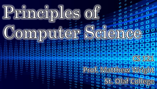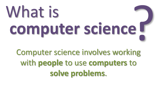## What is **computer science**

Computer science involves working with **people** to use **computers** to **solve problems**.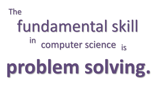#### The computer science fundamental skill in is

# **problem solving.**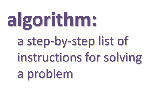# **algorithm:**

a step-by-step list of instructions for solving a problem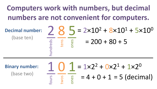#### **Computers work with numbers, but decimal numbers are not convenient for computers.**

| (base ten) |  | Decimal number: $285 = 2 \times 10^2 + 8 \times 10^1 + 5 \times 10^0$ |
|------------|--|-----------------------------------------------------------------------|
|            |  | $= 200 + 80 + 5$                                                      |

**Binary number:**<br>(base two)

(base two)  
\n
$$
\frac{1}{\frac{9}{5}} \frac{0}{\frac{9}{5}} \frac{1}{\frac{9}{5}} = 4 + 0 + 1 = 5
$$
 (decimal)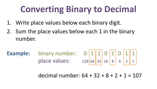#### **Converting Binary to Decimal**

- 1. Write place values below each binary digit.
- 2. Sum the place values below each 1 in the binary number.

**Example:** binary number:  $0 |1| 1 |0| 1 |0| 1 |1$ place values:  $128|64|32|16|8|4|2|16$ 

decimal number: 64 + 32 + 8 + 2 + 1 = 107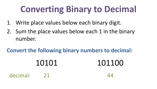### **Converting Binary to Decimal**

- 1. Write place values below each binary digit.
- 2. Sum the place values below each 1 in the binary number.

**Convert the following binary numbers to decimal:**

#### 10101 101100 decimal: 21 44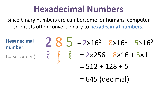#### **Hexadecimal Numbers**

Since binary numbers are cumbersome for humans, computer scientists often convert binary to **hexadecimal numbers**.

| <b>Hexadecimal</b><br>number: |      |          |     | $285 = 2 \times 16^2 + 8 \times 16^1 + 5 \times 16^0$ |
|-------------------------------|------|----------|-----|-------------------------------------------------------|
| (base sixteen)                | 256s |          | one | $= 2 \times 256 + 8 \times 16 + 5 \times 1$           |
|                               |      | $\Omega$ |     | $= 512 + 128 + 5$                                     |
|                               |      |          |     | $= 645$ (decimal)                                     |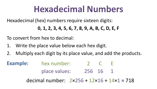#### **Hexadecimal Numbers**

Hexadecimal (hex) numbers require sixteen digits:

**0, 1, 2, 3, 4, 5, 6, 7, 8, 9, A, B, C, D, E, F**

To convert from hex to decimal:

- 1. Write the place value below each hex digit.
- 2. Multiply each digit by its place value, and add the products.

**Example:** hex number: 2 C E place values: 256 16 1

decimal number: 2×256 + 12×16 + 14×1 = 718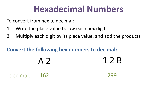#### **Hexadecimal Numbers**

To convert from hex to decimal:

- 1. Write the place value below each hex digit.
- 2. Multiply each digit by its place value, and add the products.

#### **Convert the following hex numbers to decimal:**

|              | A <sub>2</sub> | 12B |
|--------------|----------------|-----|
| decimal: 162 |                | 299 |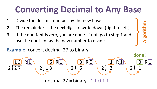### **Converting Decimal to Any Base**

- 1. Divide the decimal number by the new base.
- 2. The remainder is the next digit to write down (right to left).
- 3. If the quotient is zero, you are done. If not, go to step 1 and use the quotient as the new number to divide.

#### **Example:** convert decimal 27 to binary

$$
\begin{array}{c|c|c}\n 13 & R1 \\
 2 & 13 \\
 & 2 & 3\n\end{array}\n\qquad\n\begin{array}{c|c}\n 6 & R1 \\
 2 & 6 \\
 & 2 & 3 \\
\hline\n\end{array}\n\qquad\n\begin{array}{c|c}\n 1 & R1 \\
 2 & 3 \\
 & 2 & 1 \\
\hline\n\end{array}\n\qquad\n\begin{array}{c|c}\n 0 & R1 \\
 2 & 1 \\
 & 2\n\end{array}
$$

done!**Algorithm**

decimal 27 = binary  $11011$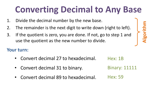## **Converting Decimal to Any Base**

- 1. Divide the decimal number by the new base.
- 2. The remainder is the next digit to write down (right to left).
- 3. If the quotient is zero, you are done. If not, go to step 1 and use the quotient as the new number to divide.

#### **Your turn:**

- Convert decimal 27 to hexadecimal.
- Convert decimal 31 to binary.
- Convert decimal 89 to hexadecimal.

Hex: 1B

Binary: 11111

**Algorithm**

Hex: 59